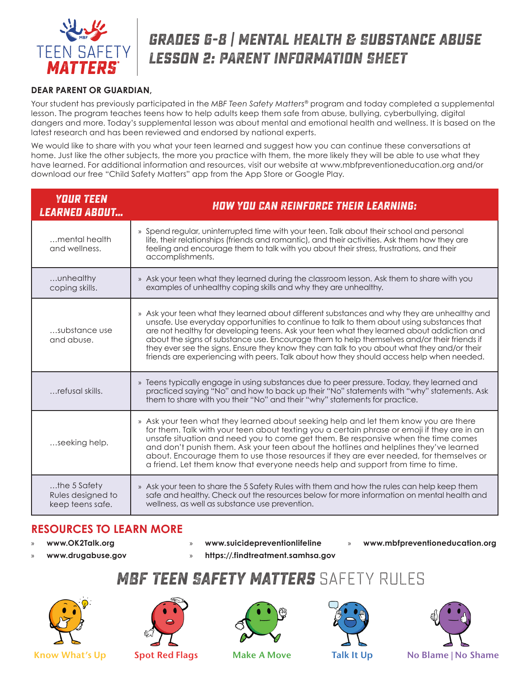

# **grades 6-8 | Mental Health & Substance abUse Lesson 2: PARENT INFORMATION SHEET**

#### **DEAR PARENT OR GUARDIAN,**

Your student has previously participated in the *MBF Teen Safety Matters®* program and today completed a supplemental lesson. The program teaches teens how to help adults keep them safe from abuse, bullying, cyberbullying, digital dangers and more. Today's supplemental lesson was about mental and emotional health and wellness. It is based on the latest research and has been reviewed and endorsed by national experts.

We would like to share with you what your teen learned and suggest how you can continue these conversations at home. Just like the other subjects, the more you practice with them, the more likely they will be able to use what they have learned. For additional information and resources, visit our website at www.mbfpreventioneducation.org and/or download our free "Child Safety Matters" app from the App Store or Google Play.

| <b>YOUR TEEN</b><br><i><b>LEARNED ABOUT</b></i>       | HOW YOU CAN REINFORCE THEIR LEARNING:                                                                                                                                                                                                                                                                                                                                                                                                                                                                                                                                            |
|-------------------------------------------------------|----------------------------------------------------------------------------------------------------------------------------------------------------------------------------------------------------------------------------------------------------------------------------------------------------------------------------------------------------------------------------------------------------------------------------------------------------------------------------------------------------------------------------------------------------------------------------------|
| mental health<br>and wellness.                        | » Spend regular, uninterrupted time with your teen. Talk about their school and personal<br>life, their relationships (friends and romantic), and their activities. Ask them how they are<br>feeling and encourage them to talk with you about their stress, frustrations, and their<br>accomplishments.                                                                                                                                                                                                                                                                         |
| unhealthy<br>coping skills.                           | » Ask your teen what they learned during the classroom lesson. Ask them to share with you<br>examples of unhealthy coping skills and why they are unhealthy.                                                                                                                                                                                                                                                                                                                                                                                                                     |
| substance use<br>and abuse.                           | » Ask your teen what they learned about different substances and why they are unhealthy and<br>unsafe. Use everyday opportunities to continue to talk to them about using substances that<br>are not healthy for developing teens. Ask your teen what they learned about addiction and<br>about the signs of substance use. Encourage them to help themselves and/or their friends if<br>they ever see the signs. Ensure they know they can talk to you about what they and/or their<br>friends are experiencing with peers. Talk about how they should access help when needed. |
| refusal skills.                                       | » Teens typically engage in using substances due to peer pressure. Today, they learned and<br>practiced saying "No" and how to back up their "No" statements with "why" statements. Ask<br>them to share with you their "No" and their "why" statements for practice.                                                                                                                                                                                                                                                                                                            |
| seeking help.                                         | » Ask your teen what they learned about seeking help and let them know you are there<br>for them. Talk with your teen about texting you a certain phrase or emoji if they are in an<br>unsafe situation and need you to come get them. Be responsive when the time comes<br>and don't punish them. Ask your teen about the hotlines and helplines they've learned<br>about. Encourage them to use those resources if they are ever needed, for themselves or<br>a friend. Let them know that everyone needs help and support from time to time.                                  |
| the 5 Safety<br>Rules designed to<br>keep teens safe. | » Ask your teen to share the 5 Safety Rules with them and how the rules can help keep them<br>safe and healthy. Check out the resources below for more information on mental health and<br>wellness, as well as substance use prevention.                                                                                                                                                                                                                                                                                                                                        |

### **RESOURCES TO LEARN MORE**

- » **www.OK2Talk.org**
	-
- 
- » **www.suicidepreventionlifeline**
- » **www.mbfpreventioneducation.org**

» **www.drugabuse.gov**

- » **https://.findtreatment.samhsa.gov**
- 
- **MBF Teen Safety Matters** SAFETY RULES